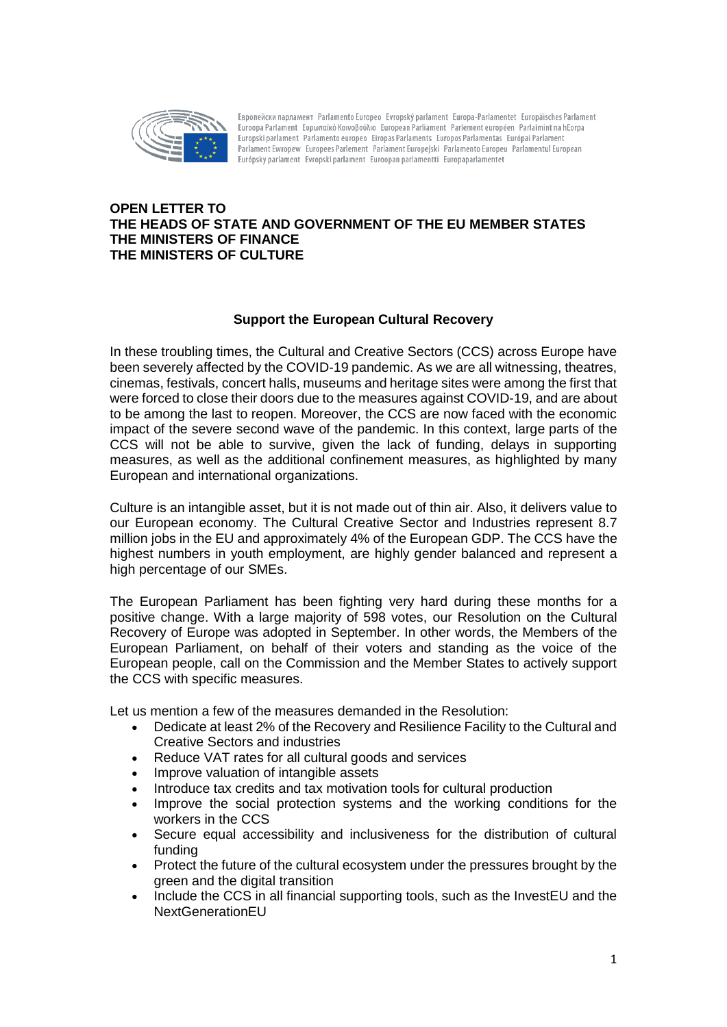

Eвропейски парламент Parlamento Europeo Evropský parlament Europa-Parlamentet Europäisches Parlament Euroopa Parlament Eυρωπαϊκό Κοινοβούλιο European Parliament Parlement européen Parlaimint na hEorpa Europski parlament Parlamento europeo Eiropas Parlaments Europos Parlamentas Európai Parlament Parlament Ewropew Europees Parlement Parlament Europejski Parlamento Europeu Parlamentul European Európsky parlament Evropski parlament Euroopan parlamentti Europaparlamentet

## **OPEN LETTER TO THE HEADS OF STATE AND GOVERNMENT OF THE EU MEMBER STATES THE MINISTERS OF FINANCE THE MINISTERS OF CULTURE**

## **Support the European Cultural Recovery**

In these troubling times, the Cultural and Creative Sectors (CCS) across Europe have been severely affected by the COVID-19 pandemic. As we are all witnessing, theatres, cinemas, festivals, concert halls, museums and heritage sites were among the first that were forced to close their doors due to the measures against COVID-19, and are about to be among the last to reopen. Moreover, the CCS are now faced with the economic impact of the severe second wave of the pandemic. In this context, large parts of the CCS will not be able to survive, given the lack of funding, delays in supporting measures, as well as the additional confinement measures, as highlighted by many European and international organizations.

Culture is an intangible asset, but it is not made out of thin air. Also, it delivers value to our European economy. The Cultural Creative Sector and Industries represent 8.7 million jobs in the EU and approximately 4% of the European GDP. The CCS have the highest numbers in youth employment, are highly gender balanced and represent a high percentage of our SMEs.

The European Parliament has been fighting very hard during these months for a positive change. With a large majority of 598 votes, our Resolution on the Cultural Recovery of Europe was adopted in September. In other words, the Members of the European Parliament, on behalf of their voters and standing as the voice of the European people, call on the Commission and the Member States to actively support the CCS with specific measures.

Let us mention a few of the measures demanded in the Resolution:

- Dedicate at least 2% of the Recovery and Resilience Facility to the Cultural and Creative Sectors and industries
- Reduce VAT rates for all cultural goods and services
- Improve valuation of intangible assets
- Introduce tax credits and tax motivation tools for cultural production
- Improve the social protection systems and the working conditions for the workers in the CCS
- Secure equal accessibility and inclusiveness for the distribution of cultural funding
- Protect the future of the cultural ecosystem under the pressures brought by the green and the digital transition
- Include the CCS in all financial supporting tools, such as the InvestEU and the NextGenerationEU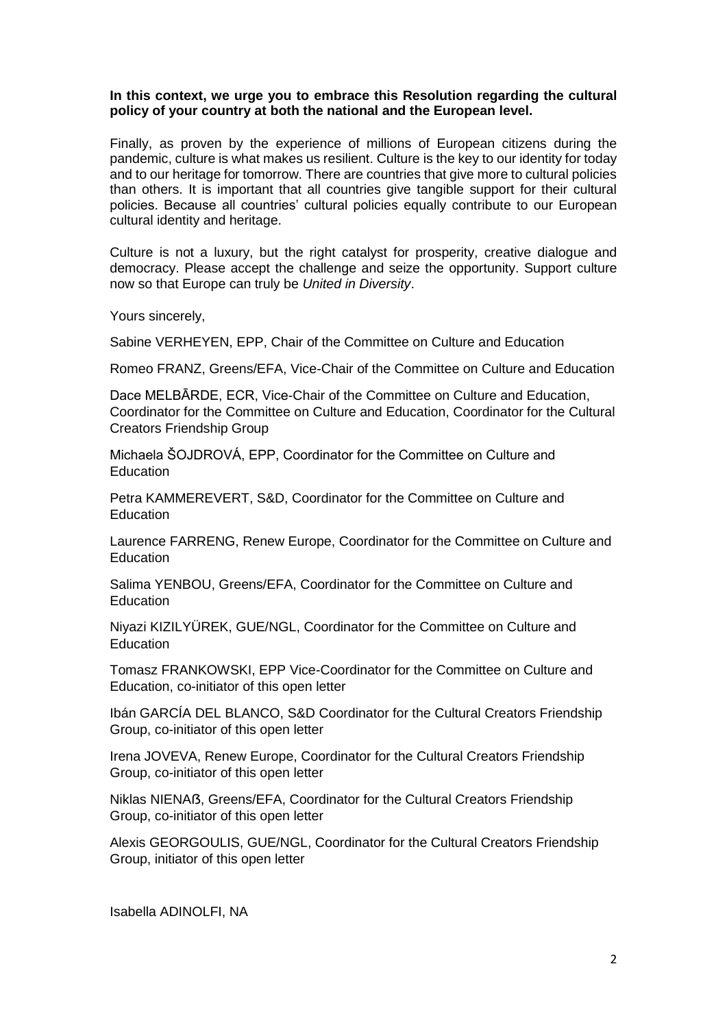## **In this context, we urge you to embrace this Resolution regarding the cultural policy of your country at both the national and the European level.**

Finally, as proven by the experience of millions of European citizens during the pandemic, culture is what makes us resilient. Culture is the key to our identity for today and to our heritage for tomorrow. There are countries that give more to cultural policies than others. It is important that all countries give tangible support for their cultural policies. Because all countries' cultural policies equally contribute to our European cultural identity and heritage.

Culture is not a luxury, but the right catalyst for prosperity, creative dialogue and democracy. Please accept the challenge and seize the opportunity. Support culture now so that Europe can truly be *United in Diversity*.

Yours sincerely,

Sabine VERHEYEN, EPP, Chair of the Committee on Culture and Education

Romeo FRANZ, Greens/EFA, Vice-Chair of the Committee on Culture and Education

Dace MELBĀRDE, ECR, Vice-Chair of the Committee on Culture and Education, Coordinator for the Committee on Culture and Education, Coordinator for the Cultural Creators Friendship Group

Michaela ŠOJDROVÁ, EPP, Coordinator for the Committee on Culture and **Education** 

Petra KAMMEREVERT, S&D, Coordinator for the Committee on Culture and **Education** 

Laurence FARRENG, Renew Europe, Coordinator for the Committee on Culture and Education

Salima YENBOU, Greens/EFA, Coordinator for the Committee on Culture and **Education** 

Niyazi KIZILYÜREK, GUE/NGL, Coordinator for the Committee on Culture and **Education** 

Tomasz FRANKOWSKI, EPP Vice-Coordinator for the Committee on Culture and Education, co-initiator of this open letter

Ibán GARCÍA DEL BLANCO, S&D Coordinator for the Cultural Creators Friendship Group, co-initiator of this open letter

Irena JOVEVA, Renew Europe, Coordinator for the Cultural Creators Friendship Group, co-initiator of this open letter

Niklas NIENAẞ, Greens/EFA, Coordinator for the Cultural Creators Friendship Group, co-initiator of this open letter

Alexis GEORGOULIS, GUE/NGL, Coordinator for the Cultural Creators Friendship Group, initiator of this open letter

Isabella ADINOLFI, NA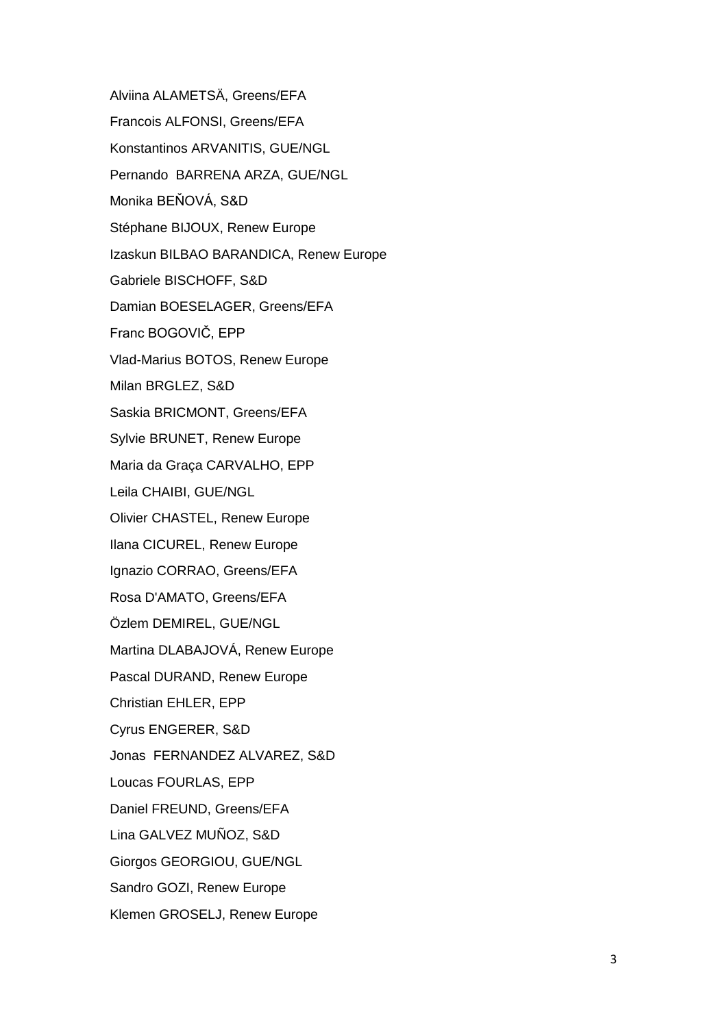Alviina ALAMETSÄ, Greens/EFA Francois ALFONSI, Greens/EFA Konstantinos ARVANITIS, GUE/NGL Pernando BARRENA ARZA, GUE/NGL Monika BEŇOVÁ, S&D Stéphane BIJOUX, Renew Europe Izaskun BILBAO BARANDICA, Renew Europe Gabriele BISCHOFF, S&D Damian BOESELAGER, Greens/EFA Franc BOGOVIČ, EPP Vlad-Marius BOTOS, Renew Europe Milan BRGLEZ, S&D Saskia BRICMONT, Greens/EFA Sylvie BRUNET, Renew Europe Maria da Graça CARVALHO, EPP Leila CHAIBI, GUE/NGL Olivier CHASTEL, Renew Europe Ilana CICUREL, Renew Europe Ignazio CORRAO, Greens/EFA Rosa D'AMATO, Greens/EFA Özlem DEMIREL, GUE/NGL Martina DLABAJOVÁ, Renew Europe Pascal DURAND, Renew Europe Christian EHLER, EPP Cyrus ENGERER, S&D Jonas FERNANDEZ ALVAREZ, S&D Loucas FOURLAS, EPP Daniel FREUND, Greens/EFA Lina GALVEZ MUÑOZ, S&D Giorgos GEORGIOU, GUE/NGL Sandro GOZI, Renew Europe Klemen GROSELJ, Renew Europe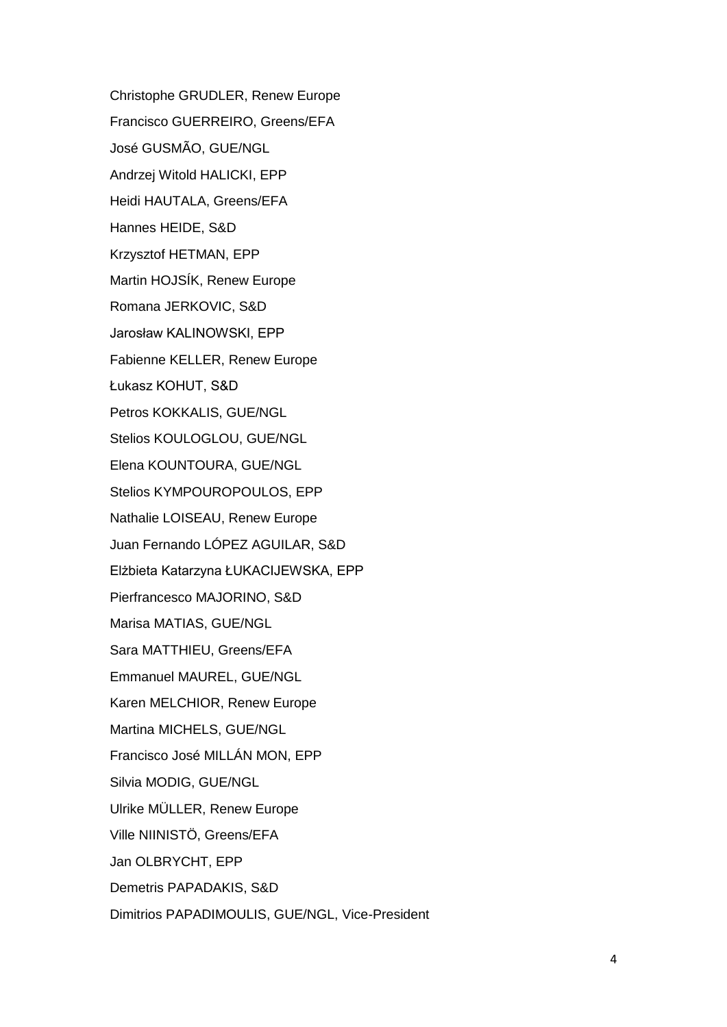Christophe GRUDLER, Renew Europe Francisco GUERREIRO, Greens/EFA José GUSMÃO, GUE/NGL Andrzej Witold HALICKI, EPP Heidi HAUTALA, Greens/EFA Hannes HEIDE, S&D Krzysztof HETMAN, EPP Martin HOJSÍK, Renew Europe Romana JERKOVIC, S&D Jarosław KALINOWSKI, EPP Fabienne KELLER, Renew Europe Łukasz KOHUT, S&D Petros KOKKALIS, GUE/NGL Stelios KOULOGLOU, GUE/NGL Elena KOUNTOURA, GUE/NGL Stelios KYMPOUROPOULOS, EPP Nathalie LOISEAU, Renew Europe Juan Fernando LÓPEZ AGUILAR, S&D Elżbieta Katarzyna ŁUKACIJEWSKA, EPP Pierfrancesco MAJORINO, S&D Marisa MATIAS, GUE/NGL Sara MATTHIEU, Greens/EFA Emmanuel MAUREL, GUE/NGL Karen MELCHIOR, Renew Europe Martina MICHELS, GUE/NGL Francisco José MILLÁN MON, EPP Silvia MODIG, GUE/NGL Ulrike MÜLLER, Renew Europe Ville NIINISTÖ, Greens/EFA Jan OLBRYCHT, EPP Demetris PAPADAKIS, S&D Dimitrios PAPADIMOULIS, GUE/NGL, Vice-President